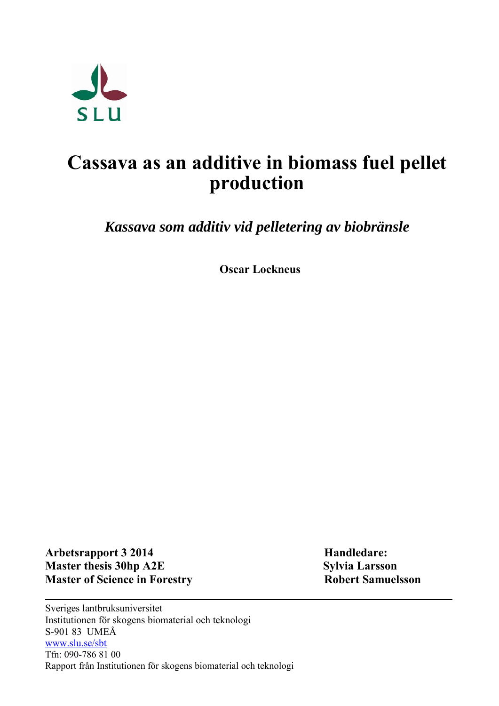

# **Cassava as an additive in biomass fuel pellet production**

*Kassava som additiv vid pelletering av biobränsle*

**Oscar Lockneus**

Arbetsrapport 3 2014 **Handledare: Master thesis 30hp A2E** Sylvia Larsson **Master of Science in Forestry Robert Samuelsson** 

Sveriges lantbruksuniversitet Institutionen för skogens biomaterial och teknologi S-901 83 UMEÅ [www.slu.se/sbt](http://www.slu.se/sbt)  Tfn: 090-786 81 00 Rapport från Institutionen för skogens biomaterial och teknologi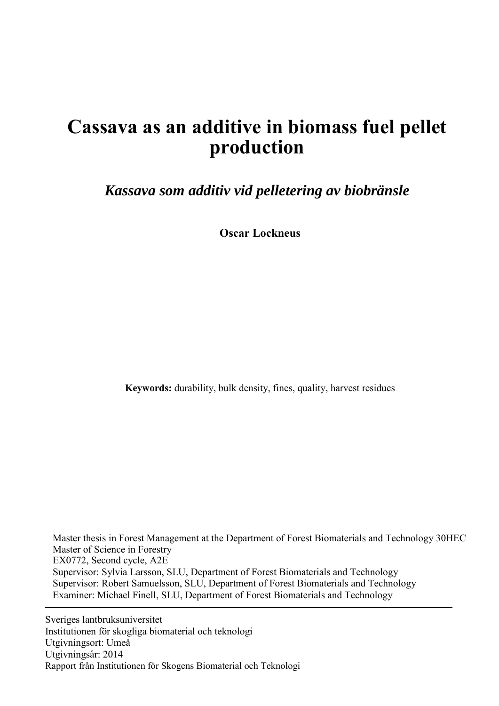# **Cassava as an additive in biomass fuel pellet production**

*Kassava som additiv vid pelletering av biobränsle*

**Oscar Lockneus**

**Keywords:** durability, bulk density, fines, quality, harvest residues

 Master thesis in Forest Management at the Department of Forest Biomaterials and Technology 30HEC Master of Science in Forestry EX0772, Second cycle, A2E Supervisor: Sylvia Larsson, SLU, Department of Forest Biomaterials and Technology Supervisor: Robert Samuelsson, SLU, Department of Forest Biomaterials and Technology Examiner: Michael Finell, SLU, [Department of Forest Biomaterials and Technology](http://www.resgeom.slu.se/eng/personal/personsida.cfm?PersID=201)

Sveriges lantbruksuniversitet Institutionen för skogliga biomaterial och teknologi Utgivningsort: Umeå Utgivningsår: 2014 Rapport från Institutionen för Skogens Biomaterial och Teknologi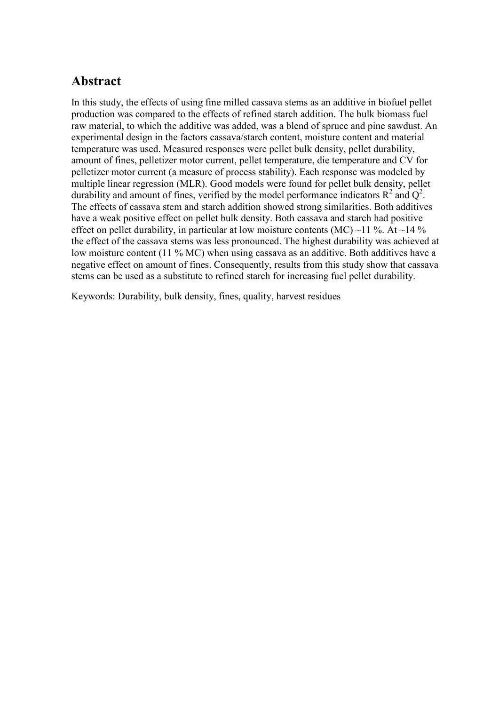### **Abstract**

In this study, the effects of using fine milled cassava stems as an additive in biofuel pellet production was compared to the effects of refined starch addition. The bulk biomass fuel raw material, to which the additive was added, was a blend of spruce and pine sawdust. An experimental design in the factors cassava/starch content, moisture content and material temperature was used. Measured responses were pellet bulk density, pellet durability, amount of fines, pelletizer motor current, pellet temperature, die temperature and CV for pelletizer motor current (a measure of process stability). Each response was modeled by multiple linear regression (MLR). Good models were found for pellet bulk density, pellet durability and amount of fines, verified by the model performance indicators  $\mathbb{R}^2$  and  $\mathbb{Q}^2$ . The effects of cassava stem and starch addition showed strong similarities. Both additives have a weak positive effect on pellet bulk density. Both cassava and starch had positive effect on pellet durability, in particular at low moisture contents (MC) ~11 %. At ~14 % the effect of the cassava stems was less pronounced. The highest durability was achieved at low moisture content (11 % MC) when using cassava as an additive. Both additives have a negative effect on amount of fines. Consequently, results from this study show that cassava stems can be used as a substitute to refined starch for increasing fuel pellet durability.

Keywords: Durability, bulk density, fines, quality, harvest residues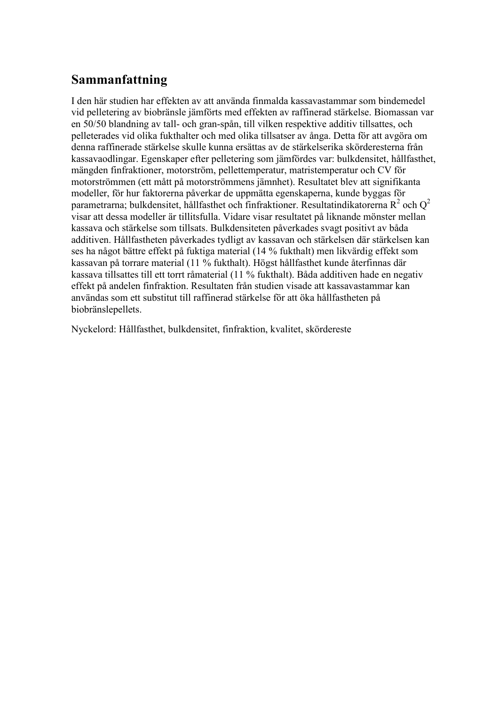### **Sammanfattning**

I den här studien har effekten av att använda finmalda kassavastammar som bindemedel vid pelletering av biobränsle jämförts med effekten av raffinerad stärkelse. Biomassan var en 50/50 blandning av tall- och gran-spån, till vilken respektive additiv tillsattes, och pelleterades vid olika fukthalter och med olika tillsatser av ånga. Detta för att avgöra om denna raffinerade stärkelse skulle kunna ersättas av de stärkelserika skörderesterna från kassavaodlingar. Egenskaper efter pelletering som jämfördes var: bulkdensitet, hållfasthet, mängden finfraktioner, motorström, pellettemperatur, matristemperatur och CV för motorströmmen (ett mått på motorströmmens jämnhet). Resultatet blev att signifikanta modeller, för hur faktorerna påverkar de uppmätta egenskaperna, kunde byggas för parametrarna; bulkdensitet, hållfasthet och finfraktioner. Resultatindikatorerna R<sup>2</sup> och Q<sup>2</sup> visar att dessa modeller är tillitsfulla. Vidare visar resultatet på liknande mönster mellan kassava och stärkelse som tillsats. Bulkdensiteten påverkades svagt positivt av båda additiven. Hållfastheten påverkades tydligt av kassavan och stärkelsen där stärkelsen kan ses ha något bättre effekt på fuktiga material (14 % fukthalt) men likvärdig effekt som kassavan på torrare material (11 % fukthalt). Högst hållfasthet kunde återfinnas där kassava tillsattes till ett torrt råmaterial (11 % fukthalt). Båda additiven hade en negativ effekt på andelen finfraktion. Resultaten från studien visade att kassavastammar kan användas som ett substitut till raffinerad stärkelse för att öka hållfastheten på biobränslepellets.

Nyckelord: Hållfasthet, bulkdensitet, finfraktion, kvalitet, skördereste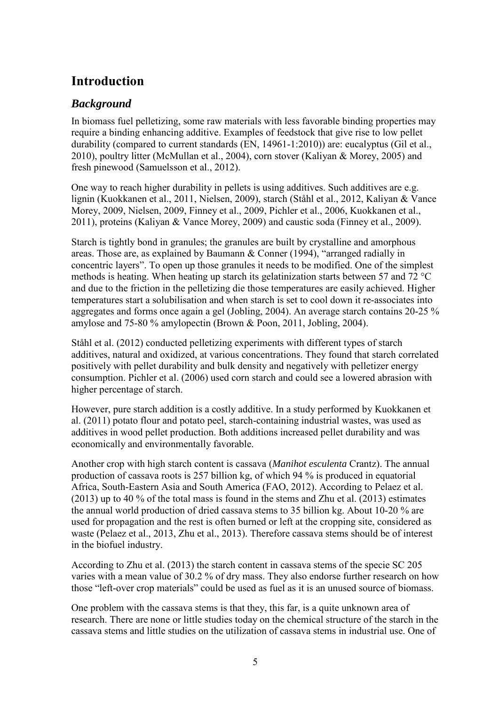## **Introduction**

### *Background*

In biomass fuel pelletizing, some raw materials with less favorable binding properties may require a binding enhancing additive. Examples of feedstock that give rise to low pellet durability (compared to current standards [\(EN, 14961-1:2010\)](#page-19-0)) are: eucalyptus [\(Gil et al.,](#page-19-1)  [2010\)](#page-19-1), poultry litter [\(McMullan et al., 2004\)](#page-19-2), corn stover [\(Kaliyan & Morey, 2005\)](#page-19-3) and fresh pinewood [\(Samuelsson et al., 2012\)](#page-19-4).

One way to reach higher durability in pellets is using additives. Such additives are e.g. lignin [\(Kuokkanen et al., 2011,](#page-19-5) [Nielsen, 2009\)](#page-19-6), starch [\(Ståhl et al., 2012,](#page-20-0) [Kaliyan & Vance](#page-19-7)  [Morey, 2009,](#page-19-7) [Nielsen, 2009,](#page-19-6) [Finney et al., 2009,](#page-19-8) [Pichler et al., 2006,](#page-19-9) [Kuokkanen et al.,](#page-19-5)  [2011\)](#page-19-5), proteins [\(Kaliyan & Vance Morey, 2009\)](#page-19-7) and caustic soda [\(Finney et al., 2009\)](#page-19-8).

Starch is tightly bond in granules; the granules are built by crystalline and amorphous areas. Those are, as explained by [Baumann & Conner \(1994\),](#page-19-10) "arranged radially in concentric layers". To open up those granules it needs to be modified. One of the simplest methods is heating. When heating up starch its gelatinization starts between 57 and 72 °C and due to the friction in the pelletizing die those temperatures are easily achieved. Higher temperatures start a solubilisation and when starch is set to cool down it re-associates into aggregates and forms once again a gel [\(Jobling, 2004\)](#page-19-11). An average starch contains 20-25 % amylose and 75-80 % amylopectin [\(Brown & Poon, 2011,](#page-19-12) [Jobling, 2004\)](#page-19-11).

[Ståhl et al. \(2012\)](#page-20-0) conducted pelletizing experiments with different types of starch additives, natural and oxidized, at various concentrations. They found that starch correlated positively with pellet durability and bulk density and negatively with pelletizer energy consumption. [Pichler et al. \(2006\)](#page-19-9) used corn starch and could see a lowered abrasion with higher percentage of starch.

However, pure starch addition is a costly additive. In a study performed by [Kuokkanen et](#page-19-5)  al. (2011) potato flour and potato peel, starch-containing industrial wastes, was used as additives in wood pellet production. Both additions increased pellet durability and was economically and environmentally favorable.

Another crop with high starch content is cassava (*Manihot esculenta* Crantz). The annual production of cassava roots is 257 billion kg, of which 94 % is produced in equatorial Africa, South-Eastern Asia and South America [\(FAO, 2012\)](#page-19-13). According to [Pelaez et al.](#page-19-14)  (2013) up to 40 % of the total mass is found in the stems and [Zhu et al. \(2013\)](#page-20-1) estimates the annual world production of dried cassava stems to 35 billion kg. About 10-20 % are used for propagation and the rest is often burned or left at the cropping site, considered as waste [\(Pelaez et al., 2013,](#page-19-14) [Zhu et al., 2013\)](#page-20-1). Therefore cassava stems should be of interest in the biofuel industry.

According to [Zhu et al. \(2013\)](#page-20-1) the starch content in cassava stems of the specie SC 205 varies with a mean value of 30.2 % of dry mass. They also endorse further research on how those "left-over crop materials" could be used as fuel as it is an unused source of biomass.

One problem with the cassava stems is that they, this far, is a quite unknown area of research. There are none or little studies today on the chemical structure of the starch in the cassava stems and little studies on the utilization of cassava stems in industrial use. One of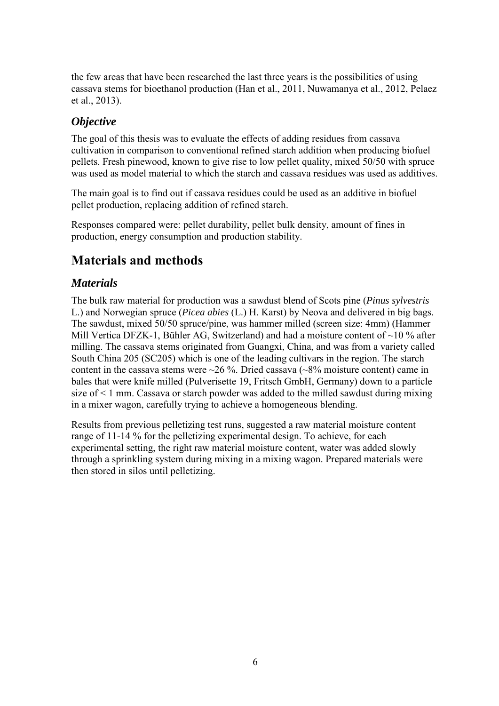the few areas that have been researched the last three years is the possibilities of using cassava stems for bioethanol production [\(Han et al., 2011,](#page-19-15) [Nuwamanya et al., 2012,](#page-19-16) [Pelaez](#page-19-14)  [et al., 2013\)](#page-19-14).

#### *Objective*

The goal of this thesis was to evaluate the effects of adding residues from cassava cultivation in comparison to conventional refined starch addition when producing biofuel pellets. Fresh pinewood, known to give rise to low pellet quality, mixed 50/50 with spruce was used as model material to which the starch and cassava residues was used as additives.

The main goal is to find out if cassava residues could be used as an additive in biofuel pellet production, replacing addition of refined starch.

Responses compared were: pellet durability, pellet bulk density, amount of fines in production, energy consumption and production stability.

# **Materials and methods**

#### *Materials*

The bulk raw material for production was a sawdust blend of Scots pine (*Pinus sylvestris* L.) and Norwegian spruce (*Picea abies* (L.) H. Karst) by Neova and delivered in big bags. The sawdust, mixed 50/50 spruce/pine, was hammer milled (screen size: 4mm) (Hammer Mill Vertica DFZK-1, Bühler AG, Switzerland) and had a moisture content of  $\sim$ 10 % after milling. The cassava stems originated from Guangxi, China, and was from a variety called South China 205 (SC205) which is one of the leading cultivars in the region. The starch content in the cassava stems were  $\sim$ 26 %. Dried cassava ( $\sim$ 8% moisture content) came in bales that were knife milled (Pulverisette 19, Fritsch GmbH, Germany) down to a particle size of < 1 mm. Cassava or starch powder was added to the milled sawdust during mixing in a mixer wagon, carefully trying to achieve a homogeneous blending.

Results from previous pelletizing test runs, suggested a raw material moisture content range of 11-14 % for the pelletizing experimental design. To achieve, for each experimental setting, the right raw material moisture content, water was added slowly through a sprinkling system during mixing in a mixing wagon. Prepared materials were then stored in silos until pelletizing.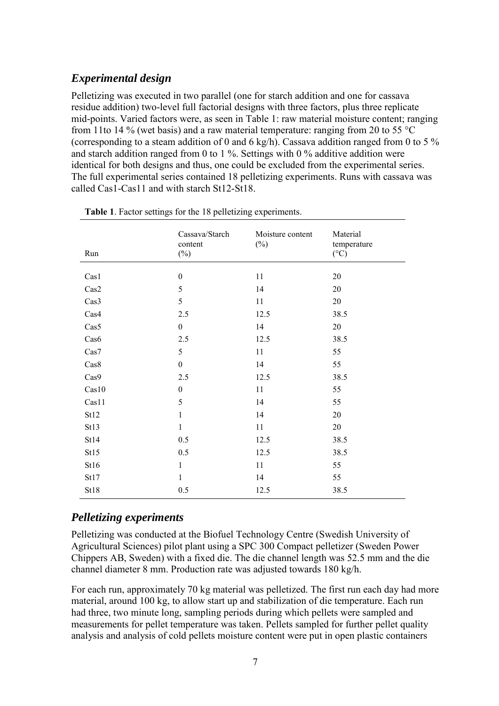### *Experimental design*

Pelletizing was executed in two parallel (one for starch addition and one for cassava residue addition) two-level full factorial designs with three factors, plus three replicate mid-points. Varied factors were, as seen in Table 1: raw material moisture content; ranging from 11to 14 % (wet basis) and a raw material temperature: ranging from 20 to 55  $^{\circ}$ C (corresponding to a steam addition of 0 and 6 kg/h). Cassava addition ranged from 0 to 5 % and starch addition ranged from 0 to 1 %. Settings with 0 % additive addition were identical for both designs and thus, one could be excluded from the experimental series. The full experimental series contained 18 pelletizing experiments. Runs with cassava was called Cas1-Cas11 and with starch St12-St18.

| Run   | Cassava/Starch<br>content<br>$(\%)$ | Moisture content<br>$(\%)$ | Material<br>temperature<br>$({}^{\circ}C)$ |
|-------|-------------------------------------|----------------------------|--------------------------------------------|
|       |                                     |                            |                                            |
| Cas1  | $\boldsymbol{0}$                    | 11                         | 20                                         |
| Cas2  | 5                                   | 14                         | 20                                         |
| Cas3  | 5                                   | 11                         | $20\,$                                     |
| Cas4  | 2.5                                 | 12.5                       | 38.5                                       |
| Cas5  | $\boldsymbol{0}$                    | 14                         | $20\,$                                     |
| Cas6  | 2.5                                 | 12.5                       | 38.5                                       |
| Cas7  | 5                                   | 11                         | 55                                         |
| Cas8  | $\boldsymbol{0}$                    | 14                         | 55                                         |
| Cas9  | 2.5                                 | 12.5                       | 38.5                                       |
| Cas10 | $\boldsymbol{0}$                    | 11                         | 55                                         |
| Cas11 | 5                                   | 14                         | 55                                         |
| St12  | 1                                   | 14                         | 20                                         |
| St13  | $\mathbf{1}$                        | 11                         | $20\,$                                     |
| St14  | 0.5                                 | 12.5                       | 38.5                                       |
| St15  | 0.5                                 | 12.5                       | 38.5                                       |
| St16  | $\mathbf{1}$                        | 11                         | 55                                         |
| St17  | 1                                   | 14                         | 55                                         |
| St18  | 0.5                                 | 12.5                       | 38.5                                       |

**Table 1**. Factor settings for the 18 pelletizing experiments.

#### *Pelletizing experiments*

Pelletizing was conducted at the Biofuel Technology Centre (Swedish University of Agricultural Sciences) pilot plant using a SPC 300 Compact pelletizer (Sweden Power Chippers AB, Sweden) with a fixed die. The die channel length was 52.5 mm and the die channel diameter 8 mm. Production rate was adjusted towards 180 kg/h.

For each run, approximately 70 kg material was pelletized. The first run each day had more material, around 100 kg, to allow start up and stabilization of die temperature. Each run had three, two minute long, sampling periods during which pellets were sampled and measurements for pellet temperature was taken. Pellets sampled for further pellet quality analysis and analysis of cold pellets moisture content were put in open plastic containers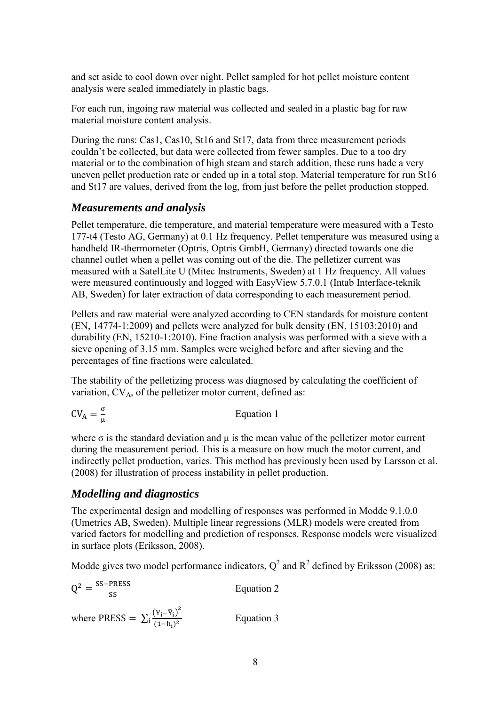and set aside to cool down over night. Pellet sampled for hot pellet moisture content analysis were sealed immediately in plastic bags.

For each run, ingoing raw material was collected and sealed in a plastic bag for raw material moisture content analysis.

During the runs: Cas1, Cas10, St16 and St17, data from three measurement periods couldn't be collected, but data were collected from fewer samples. Due to a too dry material or to the combination of high steam and starch addition, these runs hade a very uneven pellet production rate or ended up in a total stop. Material temperature for run St16 and St17 are values, derived from the log, from just before the pellet production stopped.

#### *Measurements and analysis*

Pellet temperature, die temperature, and material temperature were measured with a Testo 177-t4 (Testo AG, Germany) at 0.1 Hz frequency. Pellet temperature was measured using a handheld IR-thermometer (Optris, Optris GmbH, Germany) directed towards one die channel outlet when a pellet was coming out of the die. The pelletizer current was measured with a SatelLite U (Mitec Instruments, Sweden) at 1 Hz frequency. All values were measured continuously and logged with EasyView 5.7.0.1 (Intab Interface-teknik AB, Sweden) for later extraction of data corresponding to each measurement period.

Pellets and raw material were analyzed according to CEN standards for moisture content [\(EN, 14774-1:2009\)](#page-19-17) and pellets were analyzed for bulk density [\(EN, 15103:2010\)](#page-19-18) and durability [\(EN, 15210-1:2010\)](#page-19-19). Fine fraction analysis was performed with a sieve with a sieve opening of 3.15 mm. Samples were weighed before and after sieving and the percentages of fine fractions were calculated.

The stability of the pelletizing process was diagnosed by calculating the coefficient of variation,  $CV_A$ , of the pelletizer motor current, defined as:

$$
CV_A = \frac{\sigma}{\mu}
$$
 Equation 1

where  $\sigma$  is the standard deviation and  $\mu$  is the mean value of the pelletizer motor current during the measurement period. This is a measure on how much the motor current, and indirectly pellet production, varies. This method has previously been used by [Larsson et al.](#page-19-20)  (2008) for illustration of process instability in pellet production.

#### *Modelling and diagnostics*

The experimental design and modelling of responses was performed in Modde 9.1.0.0 (Umetrics AB, Sweden). Multiple linear regressions (MLR) models were created from varied factors for modelling and prediction of responses. Response models were visualized in surface plots [\(Eriksson, 2008\)](#page-19-21).

Modde gives two model performance indicators,  $Q^2$  and  $R^2$  defined by [Eriksson \(2008\)](#page-19-21) as:

$$
Q^{2} = \frac{\text{SS-PRESS}}{\text{SS}}
$$
 Equation 2  
where PRESS =  $\sum_{i} \frac{(Y_{i} - \hat{Y}_{i})^{2}}{(1 - h_{i})^{2}}$  Equation 3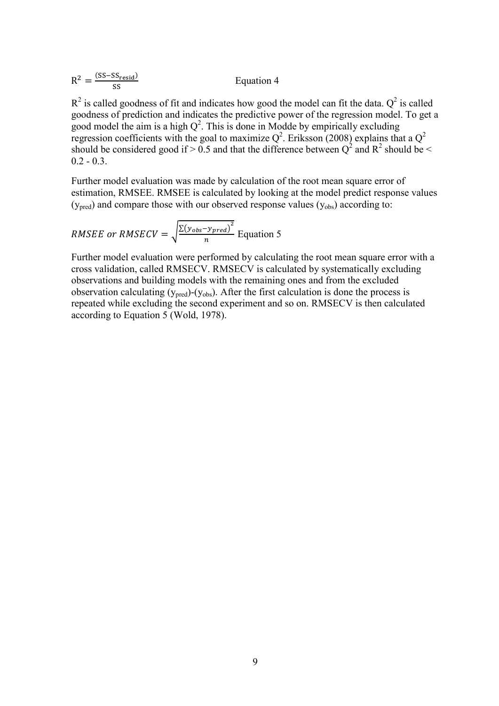| $R^2 = \frac{(SS - SS_{resid})}{\sqrt{SS - SS_{resid}}}$ | Equation 4 |
|----------------------------------------------------------|------------|
|----------------------------------------------------------|------------|

 $R^2$  is called goodness of fit and indicates how good the model can fit the data.  $Q^2$  is called goodness of prediction and indicates the predictive power of the regression model. To get a good model the aim is a high  $Q^2$ . This is done in Modde by empirically excluding regression coefficients with the goal to maximize  $Q^2$ . [Eriksson \(2008\)](#page-19-21) explains that a  $Q^2$ should be considered good if > 0.5 and that the difference between  $Q^2$  and  $R^2$  should be <  $0.2 - 0.3$ .

Further model evaluation was made by calculation of the root mean square error of estimation, RMSEE. RMSEE is calculated by looking at the model predict response values  $(y<sub>pred</sub>)$  and compare those with our observed response values  $(y<sub>obs</sub>)$  according to:

*RMSEE or RMSECV* = 
$$
\sqrt{\frac{\Sigma(y_{obs} - y_{pred})^2}{n}}
$$
 Equation 5

Further model evaluation were performed by calculating the root mean square error with a cross validation, called RMSECV. RMSECV is calculated by systematically excluding observations and building models with the remaining ones and from the excluded observation calculating  $(y_{pred})$ - $(y_{obs})$ . After the first calculation is done the process is repeated while excluding the second experiment and so on. RMSECV is then calculated according to Equation 5 [\(Wold, 1978\)](#page-20-2).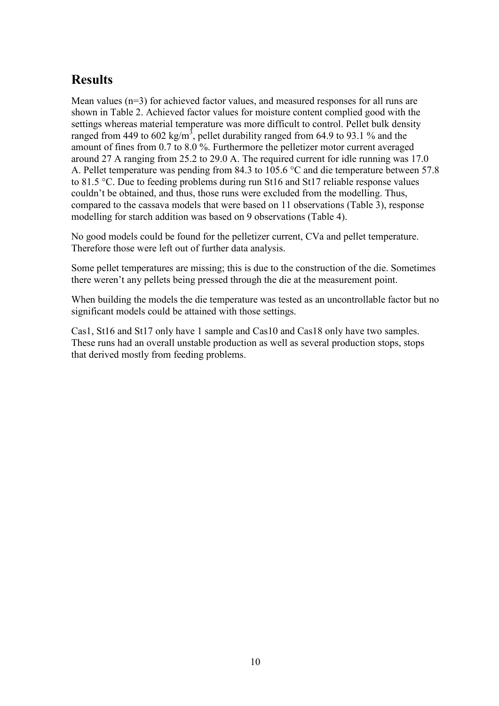# **Results**

Mean values (n=3) for achieved factor values, and measured responses for all runs are shown in Table 2. Achieved factor values for moisture content complied good with the settings whereas material temperature was more difficult to control. Pellet bulk density ranged from 449 to 602 kg/m<sup>3</sup>, pellet durability ranged from 64.9 to 93.1 % and the amount of fines from 0.7 to 8.0 %. Furthermore the pelletizer motor current averaged around 27 A ranging from 25.2 to 29.0 A. The required current for idle running was 17.0 A. Pellet temperature was pending from 84.3 to 105.6 °C and die temperature between 57.8 to 81.5 °C. Due to feeding problems during run St16 and St17 reliable response values couldn't be obtained, and thus, those runs were excluded from the modelling. Thus, compared to the cassava models that were based on 11 observations (Table 3), response modelling for starch addition was based on 9 observations (Table 4).

No good models could be found for the pelletizer current, CVa and pellet temperature. Therefore those were left out of further data analysis.

Some pellet temperatures are missing; this is due to the construction of the die. Sometimes there weren't any pellets being pressed through the die at the measurement point.

When building the models the die temperature was tested as an uncontrollable factor but no significant models could be attained with those settings.

Cas1, St16 and St17 only have 1 sample and Cas10 and Cas18 only have two samples. These runs had an overall unstable production as well as several production stops, stops that derived mostly from feeding problems.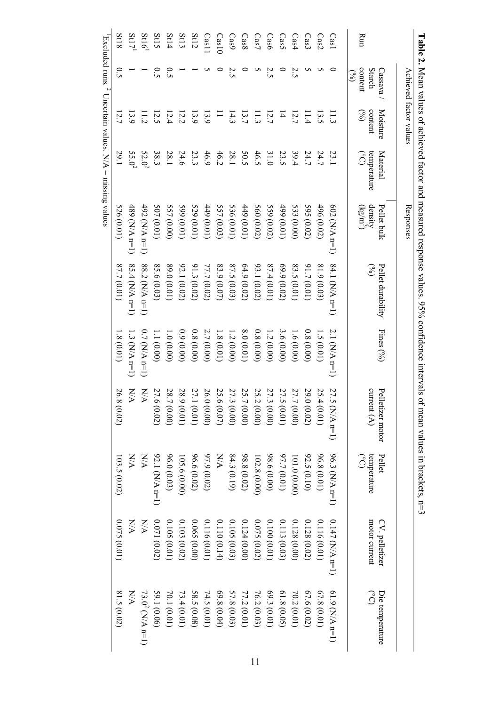|                   | ווממוז                   |                                             | Adides of defile ved 10 could differ                                                     |                          | $\frac{1}{2}$ integration to possess values. 70.70 contractive | ח כווא זמוות    |                                   | ILE GIL VALUES III DI AUNE IS, $U - 2$                                                       |                                 |                                  |
|-------------------|--------------------------|---------------------------------------------|------------------------------------------------------------------------------------------|--------------------------|----------------------------------------------------------------|-----------------|-----------------------------------|----------------------------------------------------------------------------------------------|---------------------------------|----------------------------------|
|                   |                          | Achieved factor values                      |                                                                                          | Responses                |                                                                |                 |                                   |                                                                                              |                                 |                                  |
|                   | Starch<br>Cassava        | Moisture<br>content                         | Material                                                                                 | density<br>Pellet bulk   | Pellet durability<br>$\odot$                                   | Fines $(96)$    | current $(A)$<br>Pelletizer motor | Pellet                                                                                       | motor current<br>CV. pelletizer | Die temperature<br>$\widehat{S}$ |
| Run               | content<br>$\mathcal{S}$ | $\mathcal{S}$                               | temperature $\label{eq:conformal} \begin{array}{ll} \text{(c)}\\ \text{(c)} \end{array}$ | $(kg/m^3)$               |                                                                |                 |                                   | temperature<br>$\label{eq:conformal} \begin{array}{ll} \text{(c)} \\ \text{(c)} \end{array}$ |                                 |                                  |
| Cas1              |                          |                                             | 23.1                                                                                     | $(02 \, (N/A \, n=1))$   | 84.1 $(N/A n=1)$                                               | $2.1$ (NA n=1)  | 27.5<br>$(M/A \; n=1)$            | 96.3 (N/A n=1)                                                                               | $0.147$ (N/A n=1)               | $(1.9$ (N/A n=1)                 |
| Cas2              |                          | $\begin{array}{c} 11.3 \\ 13.5 \end{array}$ | 24.7                                                                                     | 496 (0.02)               | 81.9 (0.03                                                     | 1.5(0.01)       | 25.4<br>(0.01)                    | 96.8(0.01)                                                                                   | 0.116(0.01)                     | 67.8(0.01)                       |
| $\text{Cas}3$     |                          |                                             | 24.7                                                                                     | 595 (0.02)               | 91.7(0.01)                                                     | 0.8(0.00)       | 29.0<br>(0.02)                    | 92.5 (0.10)                                                                                  | 0.128(0.02)                     | 67.6(0.02)                       |
| Cas4              | 2.5                      | 12.7                                        | 39.4                                                                                     | 533 (0.00)               | 83.5 (0.01)                                                    | 1.6(0.00)       | 27.7<br>(0.00)                    | (0.000)                                                                                      | 0.128(0.00)                     | 70.2 (0.01)                      |
| Cas5              |                          | $\overline{4}$                              | 23.5                                                                                     | $(10.0)$ 66 <sup>t</sup> | 69.9(0.02)                                                     | 3.6 (0.00)      | 27.5 (0.01)                       | 97.7 (0.01)                                                                                  | 0.113(0.03)                     | 61.8 (0.05)                      |
| Cas6              | 2.5                      | 12.7                                        | 31.0                                                                                     | 559 (0.02)               | 87.4(0.01)                                                     | 1.2(0.00)       | 27.3 (0.00)                       | 98.6(0.00)                                                                                   | 0.100(0.01)                     | 69.3(0.01)                       |
| $\text{Cas}$      | U                        |                                             | 46.5                                                                                     | 560 (0.02)               | 93.1 (0.02)                                                    | 0.8(0.00)       | 25.2<br>(0.00)                    | 102.8 (0.00)                                                                                 | 0.075(0.02)                     | 76.2 (0.03)                      |
| Cas8              |                          | $\begin{array}{c} 11.3 \\ 13.7 \end{array}$ | 50.5                                                                                     | (10.01)                  | 64.9(0.02)                                                     | 8.0(0.01)       | 25.7<br>(0.00)                    | 98.8(0.02)                                                                                   | 0.124(0.00)                     | 77.2 (0.01)                      |
| Cas9              | 2.5                      | 14.3                                        | $28.1\,$                                                                                 | 536 (0.01)               | 87.5 (0.03)                                                    | 1.2(0.00)       | 27.3<br>(0.00)                    | 84.3 (0.19)                                                                                  | 0.105(0.03)                     | 57.8 (0.03)                      |
| Cas10             |                          | $\equiv$                                    | 46.2                                                                                     | 557 (0.03)               | 83.9(0.07)                                                     | 1.8(0.01)       | 25.6<br>(0.07)                    | N/N                                                                                          | 0.110(0.14)                     | 69.8(0.04)                       |
| $\text{Cas} 1$    |                          | 13.9                                        | 46.9                                                                                     | (10.01)                  | 77.7 (0.02)                                                    | 2.7(0.00)       | 26.0<br>(0.00)                    | 97.9 (0.02)                                                                                  | 0.116 (0.01)                    | 74.5 (0.01)                      |
| St12              |                          | 13.9                                        | 23.3                                                                                     | 529 (0.01)               | 91.3(0.02)                                                     | 0.8(0.00)       | 27.1<br>(0.01)                    | 96.6 (0.02)                                                                                  | (0.065(0.00))                   | 58.5 (0.08)                      |
| St13              |                          |                                             | 24.6                                                                                     | 599(0.01)                | 92.1 (0.02)                                                    | (0.00)          | 28.9<br>(0.01)                    | 105.6(0.00)                                                                                  | 0.103(0.02)                     | 73.4(0.01)                       |
| St14              | $\overline{c}$           | $\frac{12.2}{12.5}$<br>$\frac{12.5}{12.2}$  | 28.1                                                                                     | 557 (0.00)               | 89.0 (0.01)                                                    | 1.0 (0.00)      | 28.7<br>(0.00)                    | 96.0 (0.03)                                                                                  | 0.105(0.01)                     | 70.1 (0.01)                      |
| St15              | 0.5                      |                                             | 38.3                                                                                     | 507 (0.01)               | 85.6 (0.03                                                     | 1.1 (0.00)      | 27.6<br>(0.02)                    | 92.1 (N/A n=1)                                                                               | 0.071(0.02)                     | 59.1 (0.06)                      |
| St16 <sup>1</sup> |                          |                                             | $52.0^{2}$                                                                               | 492 (N/A n=1)            | $88.2$ (N/A n=1)                                               | $0.7$ (N/A n=1) | NA                                | N/A                                                                                          | NN                              | 73.0 <sup>2</sup> (N/A n=1)      |
| St17              |                          | 13.9                                        | $55.0^{2}$                                                                               | 489 (N/A n=1)            | 85.4 (N/A n=1)                                                 | $1.3$ (N/A n=1) | N/A                               | XX                                                                                           | $\frac{1}{2}$                   | XX                               |
| St18              | $\overline{c}$ .         | 12.7                                        | 29.1                                                                                     | 526 (0.01)               | 87.7 (0.01)                                                    | 1.8(0.01)       | 26.8<br>(0.02)                    | 103.5 (0.02)                                                                                 | 0.075(0.01)                     | 81.5 (0.02)                      |
|                   |                          |                                             | Excluded runs. $\angle$ Uncertain values. N/A = missing values                           |                          |                                                                |                 |                                   |                                                                                              |                                 |                                  |

**Table 2. Nean values of achieved factor and measured response values. 95% confidence intervals of mean values in brackets. n=3** Mean values of achieved factor and measured response values. 95% confidence intervals of mean values in brackets,  $n=3$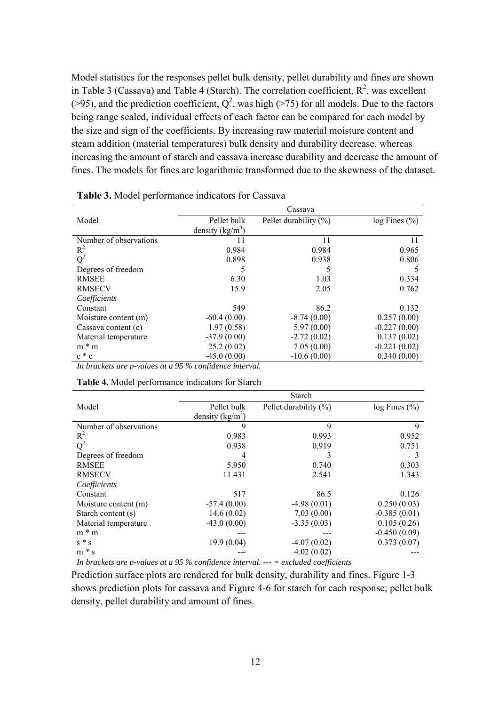Model statistics for the responses pellet bulk density, pellet durability and fines are shown in Table 3 (Cassava) and Table 4 (Starch). The correlation coefficient,  $R^2$ , was excellent (>95), and the prediction coefficient,  $Q^2$ , was high (>75) for all models. Due to the factors being range scaled, individual effects of each factor can be compared for each model by the size and sign of the coefficients. By increasing raw material moisture content and steam addition (material temperatures) bulk density and durability decrease, whereas increasing the amount of starch and cassava increase durability and decrease the amount of fines. The models for fines are logarithmic transformed due to the skewness of the dataset.

|                        |                    | Cassava                   |                     |
|------------------------|--------------------|---------------------------|---------------------|
| Model                  | Pellet bulk        | Pellet durability $(\% )$ | $log$ Fines $(\%$ ) |
|                        | density $(kg/m^3)$ |                           |                     |
| Number of observations | 11                 | 11                        | 11                  |
| $R^2$                  | 0.984              | 0.984                     | 0.965               |
| $Q^2$                  | 0.898              | 0.938                     | 0.806               |
| Degrees of freedom     | 5                  |                           | 5                   |
| <b>RMSEE</b>           | 6.30               | 1.03                      | 0.334               |
| <b>RMSECV</b>          | 15.9               | 2.05                      | 0.762               |
| Coefficients           |                    |                           |                     |
| Constant               | 549                | 86.2                      | 0.132               |
| Moisture content (m)   | $-60.4(0.00)$      | $-8.74(0.00)$             | 0.257(0.00)         |
| Cassava content (c)    | 1.97(0.58)         | 5.97(0.00)                | $-0.227(0.00)$      |
| Material temperature   | $-37.9(0.00)$      | $-2.72(0.02)$             | 0.137(0.02)         |
| $m * m$                | 25.2(0.02)         | 7.05(0.00)                | $-0.221(0.02)$      |
| $c * c$                | $-45.0(0.00)$      | $-10.6(0.00)$             | 0.340(0.00)         |

**Table 3.** Model performance indicators for Cassava

*In brackets are p-values at a 95 % confidence interval.* 

| <b>Table 4.</b> Model performance indicators for Starch |  |  |  |  |
|---------------------------------------------------------|--|--|--|--|
|---------------------------------------------------------|--|--|--|--|

|                        |                    | Starch                    |                     |
|------------------------|--------------------|---------------------------|---------------------|
| Model                  | Pellet bulk        | Pellet durability $(\% )$ | $log$ Fines $(\% )$ |
|                        | density $(kg/m^3)$ |                           |                     |
| Number of observations | 9                  | 9                         | 9                   |
| $R^2$                  | 0.983              | 0.993                     | 0.952               |
| $Q^2$                  | 0.938              | 0.919                     | 0.751               |
| Degrees of freedom     | 4                  | 3                         | 3                   |
| <b>RMSEE</b>           | 5.950              | 0.740                     | 0.303               |
| <b>RMSECV</b>          | 11.431             | 2.541                     | 1.343               |
| Coefficients           |                    |                           |                     |
| Constant               | 517                | 86.5                      | 0.126               |
| Moisture content (m)   | $-57.4(0.00)$      | $-4.98(0.01)$             | 0.250(0.03)         |
| Starch content (s)     | 14.6(0.02)         | 7.03(0.00)                | $-0.385(0.01)$      |
| Material temperature   | $-43.0(0.00)$      | $-3.35(0.03)$             | 0.105(0.26)         |
| $m * m$                |                    |                           | $-0.450(0.09)$      |
| $s * s$                | 19.9(0.04)         | $-4.07(0.02)$             | 0.373(0.07)         |
| $m * s$                |                    | 4.02(0.02)                |                     |

*In brackets are p-values at a 95 % confidence interval. --- = excluded coefficients* 

Prediction surface plots are rendered for bulk density, durability and fines. Figure 1-3 shows prediction plots for cassava and Figure 4-6 for starch for each response; pellet bulk density, pellet durability and amount of fines.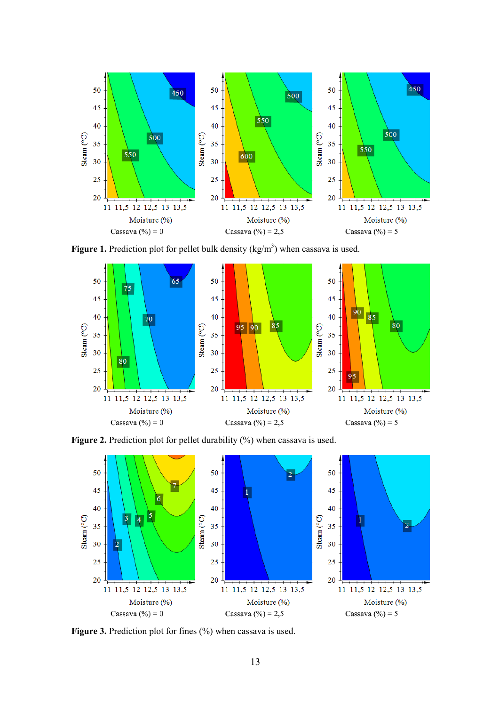

**Figure 1.** Prediction plot for pellet bulk density  $(kg/m<sup>3</sup>)$  when cassava is used.



Figure 2. Prediction plot for pellet durability (%) when cassava is used.



**Figure 3.** Prediction plot for fines (%) when cassava is used.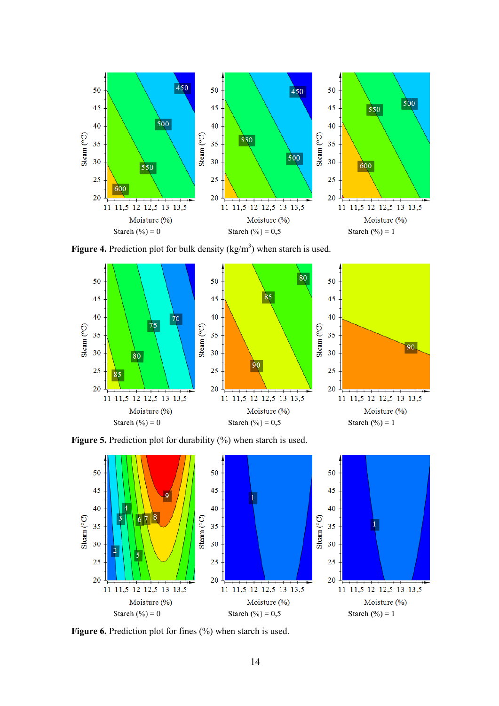

**Figure 4.** Prediction plot for bulk density  $(kg/m<sup>3</sup>)$  when starch is used.



Figure 5. Prediction plot for durability (%) when starch is used.



**Figure 6.** Prediction plot for fines  $(\%)$  when starch is used.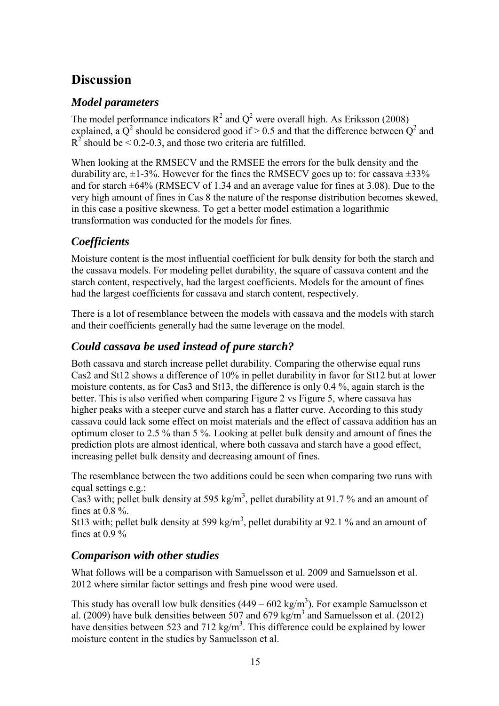### **Discussion**

#### *Model parameters*

The model performance indicators  $R^2$  and  $Q^2$  were overall high. As [Eriksson \(2008\)](#page-19-21) explained, a  $Q^2$  should be considered good if > 0.5 and that the difference between  $Q^2$  and  $R^2$  should be < 0.2-0.3, and those two criteria are fulfilled.

When looking at the RMSECV and the RMSEE the errors for the bulk density and the durability are,  $\pm 1$ -3%. However for the fines the RMSECV goes up to: for cassava  $\pm 33\%$ and for starch ±64% (RMSECV of 1.34 and an average value for fines at 3.08). Due to the very high amount of fines in Cas 8 the nature of the response distribution becomes skewed, in this case a positive skewness. To get a better model estimation a logarithmic transformation was conducted for the models for fines.

### *Coefficients*

Moisture content is the most influential coefficient for bulk density for both the starch and the cassava models. For modeling pellet durability, the square of cassava content and the starch content, respectively, had the largest coefficients. Models for the amount of fines had the largest coefficients for cassava and starch content, respectively.

There is a lot of resemblance between the models with cassava and the models with starch and their coefficients generally had the same leverage on the model.

### *Could cassava be used instead of pure starch?*

Both cassava and starch increase pellet durability. Comparing the otherwise equal runs Cas2 and St12 shows a difference of 10% in pellet durability in favor for St12 but at lower moisture contents, as for Cas3 and St13, the difference is only 0.4 %, again starch is the better. This is also verified when comparing Figure 2 vs Figure 5, where cassava has higher peaks with a steeper curve and starch has a flatter curve. According to this study cassava could lack some effect on moist materials and the effect of cassava addition has an optimum closer to 2.5 % than 5 %. Looking at pellet bulk density and amount of fines the prediction plots are almost identical, where both cassava and starch have a good effect, increasing pellet bulk density and decreasing amount of fines.

The resemblance between the two additions could be seen when comparing two runs with equal settings e.g.:

Cas3 with; pellet bulk density at 595 kg/m<sup>3</sup>, pellet durability at 91.7% and an amount of fines at  $0.8\%$ .

St13 with; pellet bulk density at 599 kg/m<sup>3</sup>, pellet durability at 92.1 % and an amount of fines at  $0.9\%$ 

#### *Comparison with other studies*

What follows will be a comparison with Samuelsson et al. 2009 and Samuelsson et al. 2012 where similar factor settings and fresh pine wood were used.

This study has overall low bulk densities  $(449 - 602 \text{ kg/m}^3)$ . For example Samuelsson et al. (2009) have bulk densities between 507 and 679 kg/m<sup>3</sup> and [Samuelsson et al. \(2012\)](#page-19-4) have densities between 523 and 712 kg/m<sup>3</sup>. This difference could be explained by lower moisture content in the studies by Samuelsson et al.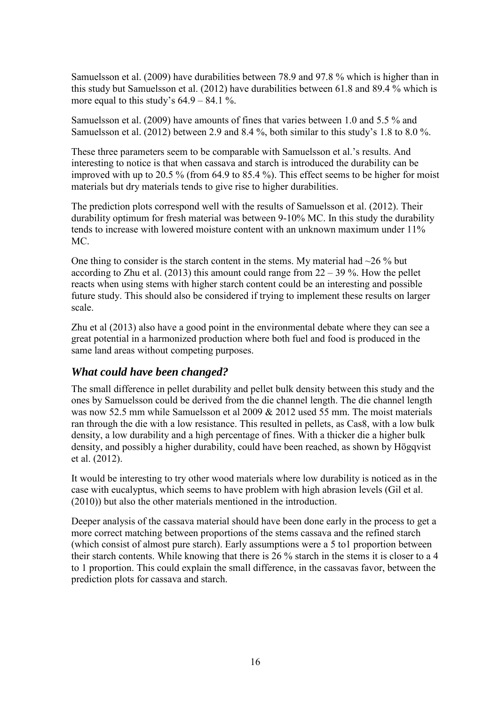[Samuelsson et al. \(2009\)](#page-20-3) have durabilities between 78.9 and 97.8 % which is higher than in this study but [Samuelsson et al. \(2012\)](#page-19-4) have durabilities between 61.8 and 89.4 % which is more equal to this study's  $64.9 - 84.1$ %.

[Samuelsson et al. \(2009\)](#page-20-3) have amounts of fines that varies between 1.0 and 5.5 % and [Samuelsson et al. \(2012\)](#page-19-4) between 2.9 and 8.4 %, both similar to this study's 1.8 to 8.0 %.

These three parameters seem to be comparable with Samuelsson et al.'s results. And interesting to notice is that when cassava and starch is introduced the durability can be improved with up to 20.5 % (from 64.9 to 85.4 %). This effect seems to be higher for moist materials but dry materials tends to give rise to higher durabilities.

The prediction plots correspond well with the results of [Samuelsson et al. \(2012\).](#page-19-4) Their durability optimum for fresh material was between 9-10% MC. In this study the durability tends to increase with lowered moisture content with an unknown maximum under 11% MC.

One thing to consider is the starch content in the stems. My material had  $\sim$ 26 % but according to [Zhu et al. \(2013\)](#page-20-1) this amount could range from  $22 - 39\%$ . How the pellet reacts when using stems with higher starch content could be an interesting and possible future study. This should also be considered if trying to implement these results on larger scale.

Zhu et al (2013) also have a good point in the environmental debate where they can see a great potential in a harmonized production where both fuel and food is produced in the same land areas without competing purposes.

#### *What could have been changed?*

The small difference in pellet durability and pellet bulk density between this study and the ones by Samuelsson could be derived from the die channel length. The die channel length was now 52.5 mm while Samuelsson et al 2009 & 2012 used 55 mm. The moist materials ran through the die with a low resistance. This resulted in pellets, as Cas8, with a low bulk density, a low durability and a high percentage of fines. With a thicker die a higher bulk density, and possibly a higher durability, could have been reached, as shown by [Högqvist](#page-19-22)  et al. (2012).

It would be interesting to try other wood materials where low durability is noticed as in the case with eucalyptus, which seems to have problem with high abrasion levels [\(Gil et al.](#page-19-1) [\(2010\)\)](#page-19-1) but also the other materials mentioned in the introduction.

Deeper analysis of the cassava material should have been done early in the process to get a more correct matching between proportions of the stems cassava and the refined starch (which consist of almost pure starch). Early assumptions were a 5 to1 proportion between their starch contents. While knowing that there is 26 % starch in the stems it is closer to a 4 to 1 proportion. This could explain the small difference, in the cassavas favor, between the prediction plots for cassava and starch.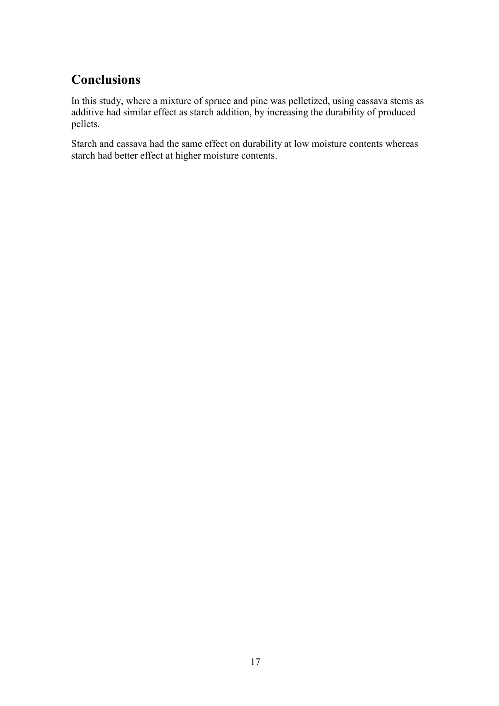# **Conclusions**

In this study, where a mixture of spruce and pine was pelletized, using cassava stems as additive had similar effect as starch addition, by increasing the durability of produced pellets.

Starch and cassava had the same effect on durability at low moisture contents whereas starch had better effect at higher moisture contents.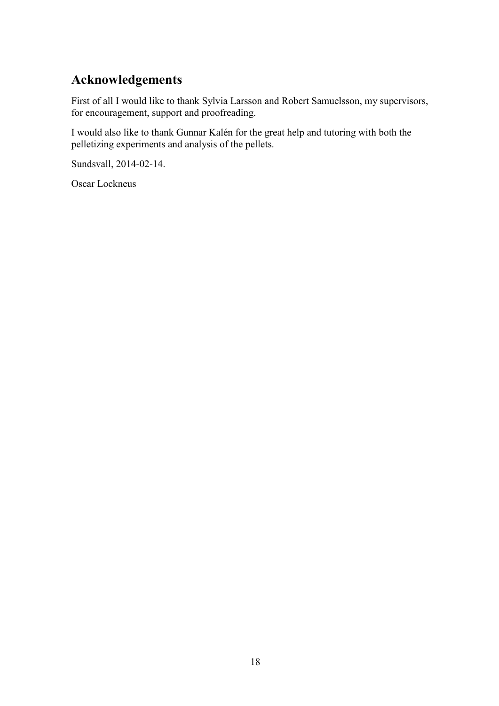# **Acknowledgements**

First of all I would like to thank Sylvia Larsson and Robert Samuelsson, my supervisors, for encouragement, support and proofreading.

I would also like to thank Gunnar Kalén for the great help and tutoring with both the pelletizing experiments and analysis of the pellets.

Sundsvall, 2014-02-14.

Oscar Lockneus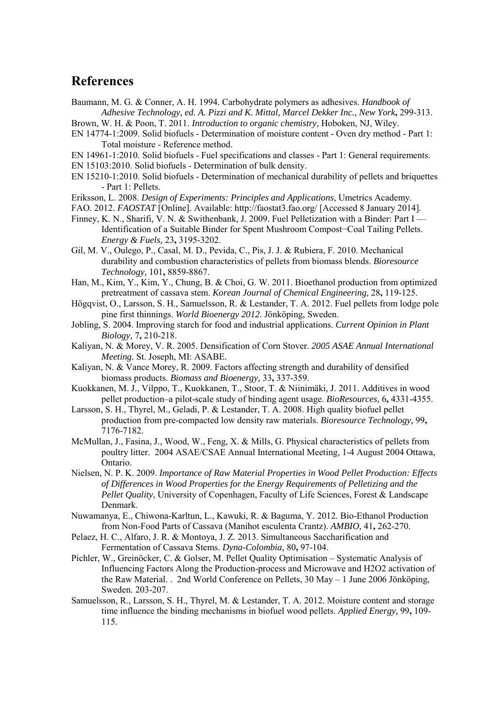#### **References**

<span id="page-19-10"></span>Baumann, M. G. & Conner, A. H. 1994. Carbohydrate polymers as adhesives. *Handbook of Adhesive Technology, ed. A. Pizzi and K. Mittal, Marcel Dekker Inc., New York***,** 299-313.

<span id="page-19-12"></span>Brown, W. H. & Poon, T. 2011. *Introduction to organic chemistry,* Hoboken, NJ, Wiley.

- <span id="page-19-17"></span>EN 14774-1:2009. Solid biofuels - Determination of moisture content - Oven dry method - Part 1: Total moisture - Reference method.
- <span id="page-19-0"></span>EN 14961-1:2010. Solid biofuels - Fuel specifications and classes - Part 1: General requirements.

<span id="page-19-18"></span>EN 15103:2010. Solid biofuels - Determination of bulk density.

- <span id="page-19-19"></span>EN 15210-1:2010. Solid biofuels - Determination of mechanical durability of pellets and briquettes - Part 1: Pellets.
- <span id="page-19-21"></span>Eriksson, L. 2008. *Design of Experiments: Principles and Applications*, Umetrics Academy.
- <span id="page-19-13"></span>FAO. 2012. *FAOSTAT* [Online]. Available: http://faostat3.fao.org/ [Accessed 8 January 2014].
- <span id="page-19-8"></span>Finney, K. N., Sharifi, V. N. & Swithenbank, J. 2009. Fuel Pelletization with a Binder: Part I — Identification of a Suitable Binder for Spent Mushroom Compost−Coal Tailing Pellets. *Energy & Fuels,* 23**,** 3195-3202.
- <span id="page-19-1"></span>Gil, M. V., Oulego, P., Casal, M. D., Pevida, C., Pis, J. J. & Rubiera, F. 2010. Mechanical durability and combustion characteristics of pellets from biomass blends. *Bioresource Technology,* 101**,** 8859-8867.
- <span id="page-19-15"></span>Han, M., Kim, Y., Kim, Y., Chung, B. & Choi, G. W. 2011. Bioethanol production from optimized pretreatment of cassava stem. *Korean Journal of Chemical Engineering,* 28**,** 119-125.
- <span id="page-19-22"></span>Högqvist, O., Larsson, S. H., Samuelsson, R. & Lestander, T. A. 2012. Fuel pellets from lodge pole pine first thinnings. *World Bioenergy 2012.* Jönköping, Sweden.
- <span id="page-19-11"></span>Jobling, S. 2004. Improving starch for food and industrial applications. *Current Opinion in Plant Biology,* 7**,** 210-218.
- <span id="page-19-3"></span>Kaliyan, N. & Morey, V. R. 2005. Densification of Corn Stover. *2005 ASAE Annual International Meeting.* St. Joseph, MI: ASABE.
- <span id="page-19-7"></span>Kaliyan, N. & Vance Morey, R. 2009. Factors affecting strength and durability of densified biomass products. *Biomass and Bioenergy,* 33**,** 337-359.
- <span id="page-19-5"></span>Kuokkanen, M. J., Vilppo, T., Kuokkanen, T., Stoor, T. & Niinimäki, J. 2011. Additives in wood pellet production–a pilot-scale study of binding agent usage. *BioResources,* 6**,** 4331-4355.
- <span id="page-19-20"></span>Larsson, S. H., Thyrel, M., Geladi, P. & Lestander, T. A. 2008. High quality biofuel pellet production from pre-compacted low density raw materials. *Bioresource Technology,* 99**,** 7176-7182.
- <span id="page-19-2"></span>McMullan, J., Fasina, J., Wood, W., Feng, X. & Mills, G. Physical characteristics of pellets from poultry litter. 2004 ASAE/CSAE Annual International Meeting, 1-4 August 2004 Ottawa, Ontario.
- <span id="page-19-6"></span>Nielsen, N. P. K. 2009. *Importance of Raw Material Properties in Wood Pellet Production: Effects of Differences in Wood Properties for the Energy Requirements of Pelletizing and the Pellet Quality*, University of Copenhagen, Faculty of Life Sciences, Forest & Landscape Denmark.
- <span id="page-19-16"></span>Nuwamanya, E., Chiwona-Karltun, L., Kawuki, R. & Baguma, Y. 2012. Bio-Ethanol Production from Non-Food Parts of Cassava (Manihot esculenta Crantz). *AMBIO,* 41**,** 262-270.
- <span id="page-19-14"></span>Pelaez, H. C., Alfaro, J. R. & Montoya, J. Z. 2013. Simultaneous Saccharification and Fermentation of Cassava Stems. *Dyna-Colombia,* 80**,** 97-104.
- <span id="page-19-9"></span>Pichler, W., Greinöcker, C. & Golser, M. Pellet Quality Optimisation – Systematic Analysis of Influencing Factors Along the Production-process and Microwave and H2O2 activation of the Raw Material. . 2nd World Conference on Pellets, 30 May – 1 June 2006 Jönköping, Sweden. 203-207.
- <span id="page-19-4"></span>Samuelsson, R., Larsson, S. H., Thyrel, M. & Lestander, T. A. 2012. Moisture content and storage time influence the binding mechanisms in biofuel wood pellets. *Applied Energy,* 99**,** 109- 115.